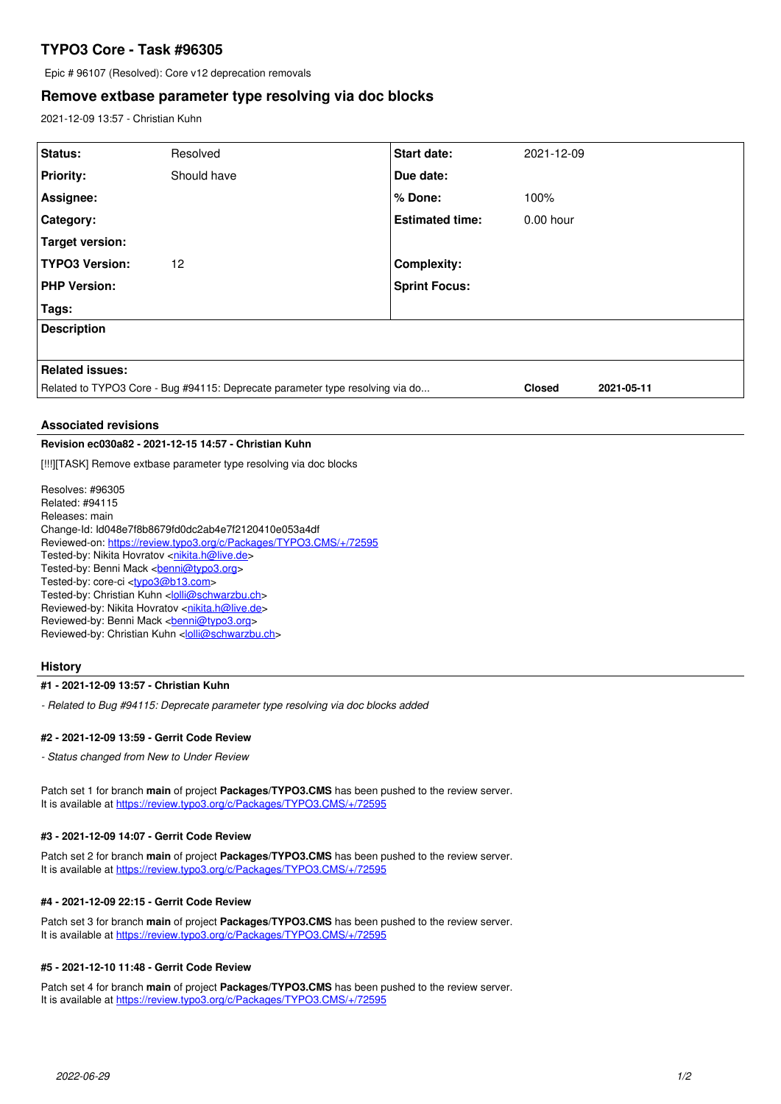# **TYPO3 Core - Task #96305**

Epic # 96107 (Resolved): Core v12 deprecation removals

# **Remove extbase parameter type resolving via doc blocks**

2021-12-09 13:57 - Christian Kuhn

| Status:                                                                       | Resolved    | <b>Start date:</b>     | 2021-12-09    |            |
|-------------------------------------------------------------------------------|-------------|------------------------|---------------|------------|
| <b>Priority:</b>                                                              | Should have | Due date:              |               |            |
| Assignee:                                                                     |             | % Done:                | 100%          |            |
| Category:                                                                     |             | <b>Estimated time:</b> | $0.00$ hour   |            |
| Target version:                                                               |             |                        |               |            |
| <b>TYPO3 Version:</b>                                                         | 12          | <b>Complexity:</b>     |               |            |
| <b>PHP Version:</b>                                                           |             | <b>Sprint Focus:</b>   |               |            |
| Tags:                                                                         |             |                        |               |            |
| <b>Description</b>                                                            |             |                        |               |            |
|                                                                               |             |                        |               |            |
| <b>Related issues:</b>                                                        |             |                        |               |            |
| Related to TYPO3 Core - Bug #94115: Deprecate parameter type resolving via do |             |                        | <b>Closed</b> | 2021-05-11 |

# **Associated revisions**

#### **Revision ec030a82 - 2021-12-15 14:57 - Christian Kuhn**

[!!!][TASK] Remove extbase parameter type resolving via doc blocks

Resolves: #96305 Related: #94115 Releases: main Change-Id: Id048e7f8b8679fd0dc2ab4e7f2120410e053a4df Reviewed-on:<https://review.typo3.org/c/Packages/TYPO3.CMS/+/72595> Tested-by: Nikita Hovratov [<nikita.h@live.de>](mailto:nikita.h@live.de) Tested-by: Benni Mack <br />
conni<br />  $\sqrt{D}$ Tested-by: core-ci [<typo3@b13.com](mailto:typo3@b13.com)> Tested-by: Christian Kuhn <[lolli@schwarzbu.ch](mailto:lolli@schwarzbu.ch)> Reviewed-by: Nikita Hovratov <[nikita.h@live.de>](mailto:nikita.h@live.de) Reviewed-by: Benni Mack <br /> **[benni@typo3.org>](mailto:benni@typo3.org)** Reviewed-by: Christian Kuhn [<lolli@schwarzbu.ch>](mailto:lolli@schwarzbu.ch)

## **History**

## **#1 - 2021-12-09 13:57 - Christian Kuhn**

*- Related to Bug #94115: Deprecate parameter type resolving via doc blocks added*

# **#2 - 2021-12-09 13:59 - Gerrit Code Review**

*- Status changed from New to Under Review*

Patch set 1 for branch **main** of project **Packages/TYPO3.CMS** has been pushed to the review server. It is available at <https://review.typo3.org/c/Packages/TYPO3.CMS/+/72595>

#### **#3 - 2021-12-09 14:07 - Gerrit Code Review**

Patch set 2 for branch **main** of project **Packages/TYPO3.CMS** has been pushed to the review server. It is available at <https://review.typo3.org/c/Packages/TYPO3.CMS/+/72595>

## **#4 - 2021-12-09 22:15 - Gerrit Code Review**

Patch set 3 for branch **main** of project **Packages/TYPO3.CMS** has been pushed to the review server. It is available at <https://review.typo3.org/c/Packages/TYPO3.CMS/+/72595>

#### **#5 - 2021-12-10 11:48 - Gerrit Code Review**

Patch set 4 for branch **main** of project **Packages/TYPO3.CMS** has been pushed to the review server. It is available at <https://review.typo3.org/c/Packages/TYPO3.CMS/+/72595>